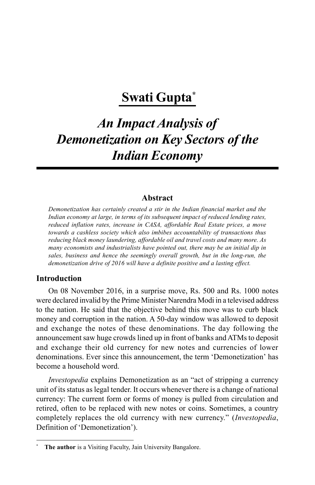## **Swati Gupta\***

# *An Impact Analysis of Demonetization on Key Sectors of the Indian Economy*

#### **Abstract**

*Demonetization has certainly created a stir in the Indian financial market and the Indian economy at large, in terms of its subsequent impact of reduced lending rates, reduced inflation rates, increase in CASA, affordable Real Estate prices, a move towards a cashless society which also imbibes accountability of transactions thus reducing black money laundering, affordable oil and travel costs and many more. As many economists and industrialists have pointed out, there may be an initial dip in sales, business and hence the seemingly overall growth, but in the long-run, the demonetization drive of 2016 will have a definite positive and a lasting effect.*

#### **Introduction**

On 08 November 2016, in a surprise move, Rs. 500 and Rs. 1000 notes were declared invalid by the Prime Minister Narendra Modi in a televised address to the nation. He said that the objective behind this move was to curb black money and corruption in the nation. A 50-day window was allowed to deposit and exchange the notes of these denominations. The day following the announcement saw huge crowds lined up in front of banks and ATMs to deposit and exchange their old currency for new notes and currencies of lower denominations. Ever since this announcement, the term 'Demonetization' has become a household word.

*Investopedia* explains Demonetization as an "act of stripping a currency unit of its status as legal tender. It occurs whenever there is a change of national currency: The current form or forms of money is pulled from circulation and retired, often to be replaced with new notes or coins. Sometimes, a country completely replaces the old currency with new currency." (*Investopedia*, Definition of 'Demonetization').

**<sup>\*</sup> The author** is a Visiting Faculty, Jain University Bangalore.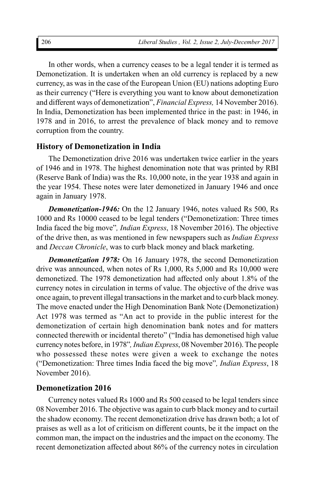In other words, when a currency ceases to be a legal tender it is termed as Demonetization. It is undertaken when an old currency is replaced by a new currency, as was in the case of the European Union (EU) nations adopting Euro as their currency ("Here is everything you want to know about demonetization and different ways of demonetization", *Financial Express,* 14 November 2016). In India, Demonetization has been implemented thrice in the past: in 1946, in 1978 and in 2016, to arrest the prevalence of black money and to remove corruption from the country.

#### **History of Demonetization in India**

The Demonetization drive 2016 was undertaken twice earlier in the years of 1946 and in 1978. The highest denomination note that was printed by RBI (Reserve Bank of India) was the Rs. 10,000 note, in the year 1938 and again in the year 1954. These notes were later demonetized in January 1946 and once again in January 1978.

*Demonetization-1946:* On the 12 January 1946, notes valued Rs 500, Rs 1000 and Rs 10000 ceased to be legal tenders ("Demonetization: Three times India faced the big move"*, Indian Express*, 18 November 2016). The objective of the drive then, as was mentioned in few newspapers such as *Indian Express* and *Deccan Chronicle*, was to curb black money and black marketing.

*Demonetization 1978:* On 16 January 1978, the second Demonetization drive was announced, when notes of Rs 1,000, Rs 5,000 and Rs 10,000 were demonetized. The 1978 demonetization had affected only about 1.8% of the currency notes in circulation in terms of value. The objective of the drive was once again, to prevent illegal transactions in the market and to curb black money. The move enacted under the High Denomination Bank Note (Demonetization) Act 1978 was termed as "An act to provide in the public interest for the demonetization of certain high denomination bank notes and for matters connected therewith or incidental thereto" ("India has demonetised high value currency notes before, in 1978"*,Indian Express*, 08 November 2016). The people who possessed these notes were given a week to exchange the notes ("Demonetization: Three times India faced the big move"*, Indian Express*, 18 November 2016).

#### **Demonetization 2016**

Currency notes valued Rs 1000 and Rs 500 ceased to be legal tenders since 08 November 2016. The objective was again to curb black money and to curtail the shadow economy. The recent demonetization drive has drawn both; a lot of praises as well as a lot of criticism on different counts, be it the impact on the common man, the impact on the industries and the impact on the economy. The recent demonetization affected about 86% of the currency notes in circulation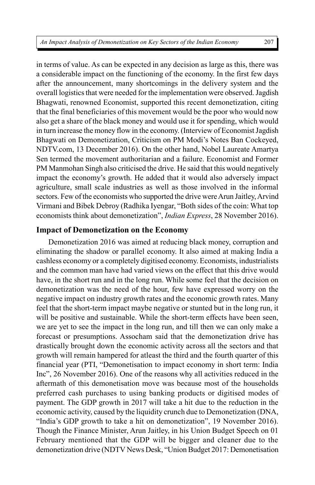in terms of value. As can be expected in any decision as large as this, there was a considerable impact on the functioning of the economy. In the first few days after the announcement, many shortcomings in the delivery system and the overall logistics that were needed for the implementation were observed. Jagdish Bhagwati, renowned Economist, supported this recent demonetization, citing that the final beneficiaries of this movement would be the poor who would now also get a share of the black money and would use it for spending, which would in turn increase the money flow in the economy. (Interview of Economist Jagdish Bhagwati on Demonetization, Criticism on PM Modi's Notes Ban Cockeyed, NDTV.com, 13 December 2016). On the other hand, Nobel Laureate Amartya Sen termed the movement authoritarian and a failure. Economist and Former PM Manmohan Singh also criticised the drive. He said that this would negatively impact the economy's growth. He added that it would also adversely impact agriculture, small scale industries as well as those involved in the informal sectors. Few of the economists who supported the drive were Arun Jaitley, Arvind Virmani and Bibek Debroy (Radhika Iyengar, "Both sides of the coin: What top economists think about demonetization", *Indian Express*, 28 November 2016).

#### **Impact of Demonetization on the Economy**

Demonetization 2016 was aimed at reducing black money, corruption and eliminating the shadow or parallel economy. It also aimed at making India a cashless economy or a completely digitised economy. Economists, industrialists and the common man have had varied views on the effect that this drive would have, in the short run and in the long run. While some feel that the decision on demonetization was the need of the hour, few have expressed worry on the negative impact on industry growth rates and the economic growth rates. Many feel that the short-term impact maybe negative or stunted but in the long run, it will be positive and sustainable. While the short-term effects have been seen, we are yet to see the impact in the long run, and till then we can only make a forecast or presumptions. Assocham said that the demonetization drive has drastically brought down the economic activity across all the sectors and that growth will remain hampered for atleast the third and the fourth quarter of this financial year (PTI, "Demonetisation to impact economy in short term: India Inc", 26 November 2016). One of the reasons why all activities reduced in the aftermath of this demonetisation move was because most of the households preferred cash purchases to using banking products or digitised modes of payment. The GDP growth in 2017 will take a hit due to the reduction in the economic activity, caused by the liquidity crunch due to Demonetization (DNA, "India's GDP growth to take a hit on demonetization", 19 November 2016). Though the Finance Minister, Arun Jaitley, in his Union Budget Speech on 01 February mentioned that the GDP will be bigger and cleaner due to the demonetization drive (NDTV News Desk, "Union Budget 2017: Demonetisation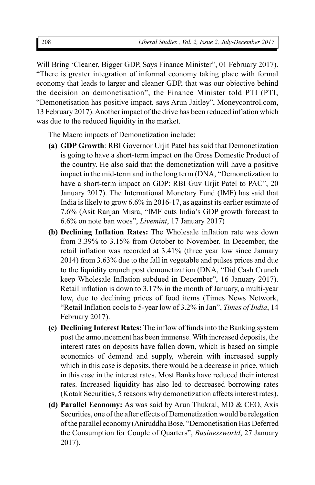Will Bring 'Cleaner, Bigger GDP, Says Finance Minister", 01 February 2017). "There is greater integration of informal economy taking place with formal economy that leads to larger and cleaner GDP, that was our objective behind the decision on demonetisation", the Finance Minister told PTI (PTI, "Demonetisation has positive impact, says Arun Jaitley", Moneycontrol.com, 13 February 2017). Another impact of the drive has been reduced inflation which was due to the reduced liquidity in the market.

The Macro impacts of Demonetization include:

- **(a) GDP Growth**: RBI Governor Urjit Patel has said that Demonetization is going to have a short-term impact on the Gross Domestic Product of the country. He also said that the demonetization will have a positive impact in the mid-term and in the long term (DNA, "Demonetization to have a short-term impact on GDP: RBI Guv Urjit Patel to PAC", 20 January 2017). The International Monetary Fund (IMF) has said that India is likely to grow 6.6% in 2016-17, as against its earlier estimate of 7.6% (Asit Ranjan Misra, "IMF cuts India's GDP growth forecast to 6.6% on note ban woes", *Livemint*, 17 January 2017)
- **(b) Declining Inflation Rates:** The Wholesale inflation rate was down from 3.39% to 3.15% from October to November. In December, the retail inflation was recorded at 3.41% (three year low since January 2014) from 3.63% due to the fall in vegetable and pulses prices and due to the liquidity crunch post demonetization (DNA, "Did Cash Crunch keep Wholesale Inflation subdued in December", 16 January 2017). Retail inflation is down to 3.17% in the month of January, a multi-year low, due to declining prices of food items (Times News Network, "Retail Inflation cools to 5-year low of 3.2% in Jan", *Times of India*, 14 February 2017).
- **(c) Declining Interest Rates:** The inflow of funds into the Banking system post the announcement has been immense. With increased deposits, the interest rates on deposits have fallen down, which is based on simple economics of demand and supply, wherein with increased supply which in this case is deposits, there would be a decrease in price, which in this case in the interest rates. Most Banks have reduced their interest rates. Increased liquidity has also led to decreased borrowing rates (Kotak Securities, 5 reasons why demonetization affects interest rates).
- **(d) Parallel Economy:** As was said by Arun Thukral, MD & CEO, Axis Securities, one of the after effects of Demonetization would be relegation of the parallel economy (Aniruddha Bose, "Demonetisation Has Deferred the Consumption for Couple of Quarters", *Businessworld*, 27 January 2017).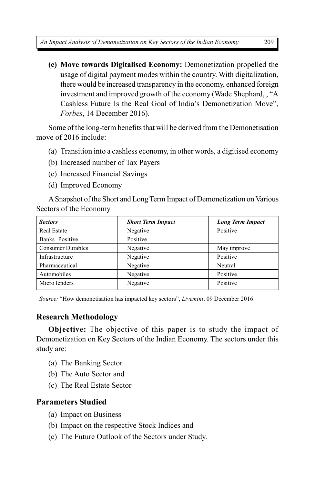**(e) Move towards Digitalised Economy:** Demonetization propelled the usage of digital payment modes within the country. With digitalization, there would be increased transparency in the economy, enhanced foreign investment and improved growth of the economy (Wade Shephard, , "A Cashless Future Is the Real Goal of India's Demonetization Move", *Forbes*, 14 December 2016).

Some of the long-term benefits that will be derived from the Demonetisation move of 2016 include:

- (a) Transition into a cashless economy, in other words, a digitised economy
- (b) Increased number of Tax Payers
- (c) Increased Financial Savings
- (d) Improved Economy

A Snapshot of the Short and Long Term Impact of Demonetization on Various Sectors of the Economy

| <b>Sectors</b>           | <b>Short Term Impact</b> | <b>Long Term Impact</b> |
|--------------------------|--------------------------|-------------------------|
| Real Estate              | Negative                 | Positive                |
| Banks Positive           | Positive                 |                         |
| <b>Consumer Durables</b> | Negative                 | May improve             |
| Infrastructure           | Negative                 | Positive                |
| Pharmaceutical           | Negative                 | Neutral                 |
| Automobiles              | Negative                 | Positive                |
| Micro lenders            | Negative                 | Positive                |

*Source:* "How demonetisation has impacted key sectors", *Livemint*, 09 December 2016.

## **Research Methodology**

**Objective:** The objective of this paper is to study the impact of Demonetization on Key Sectors of the Indian Economy. The sectors under this study are:

- (a) The Banking Sector
- (b) The Auto Sector and
- (c) The Real Estate Sector

## **Parameters Studied**

- (a) Impact on Business
- (b) Impact on the respective Stock Indices and
- (c) The Future Outlook of the Sectors under Study.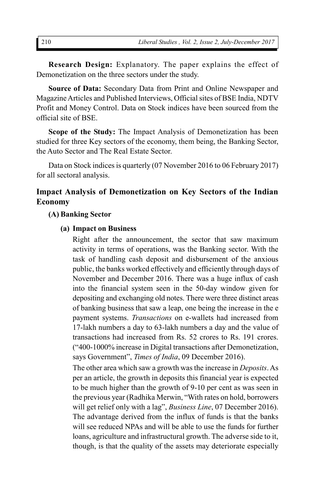**Research Design:** Explanatory. The paper explains the effect of Demonetization on the three sectors under the study.

**Source of Data:** Secondary Data from Print and Online Newspaper and Magazine Articles and Published Interviews, Official sites of BSE India, NDTV Profit and Money Control. Data on Stock indices have been sourced from the official site of BSE.

**Scope of the Study:** The Impact Analysis of Demonetization has been studied for three Key sectors of the economy, them being, the Banking Sector, the Auto Sector and The Real Estate Sector.

Data on Stock indices is quarterly (07 November 2016 to 06 February 2017) for all sectoral analysis.

## **Impact Analysis of Demonetization on Key Sectors of the Indian Economy**

#### **(A) Banking Sector**

#### **(a) Impact on Business**

Right after the announcement, the sector that saw maximum activity in terms of operations, was the Banking sector. With the task of handling cash deposit and disbursement of the anxious public, the banks worked effectively and efficiently through days of November and December 2016. There was a huge influx of cash into the financial system seen in the 50-day window given for depositing and exchanging old notes. There were three distinct areas of banking business that saw a leap, one being the increase in the e payment systems. *Transactions* on e-wallets had increased from 17-lakh numbers a day to 63-lakh numbers a day and the value of transactions had increased from Rs. 52 crores to Rs. 191 crores. ("400-1000% increase in Digital transactions after Demonetization, says Government", *Times of India*, 09 December 2016).

The other area which saw a growth was the increase in *Deposits*. As per an article, the growth in deposits this financial year is expected to be much higher than the growth of 9-10 per cent as was seen in the previous year (Radhika Merwin, "With rates on hold, borrowers will get relief only with a lag", *Business Line*, 07 December 2016). The advantage derived from the influx of funds is that the banks will see reduced NPAs and will be able to use the funds for further loans, agriculture and infrastructural growth. The adverse side to it, though, is that the quality of the assets may deteriorate especially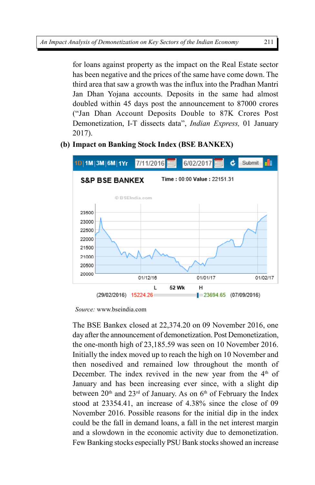for loans against property as the impact on the Real Estate sector has been negative and the prices of the same have come down. The third area that saw a growth was the influx into the Pradhan Mantri Jan Dhan Yojana accounts. Deposits in the same had almost doubled within 45 days post the announcement to 87000 crores ("Jan Dhan Account Deposits Double to 87K Crores Post Demonetization, I-T dissects data", *Indian Express,* 01 January 2017).

## **(b) Impact on Banking Stock Index (BSE BANKEX)**



 *Source:* www.bseindia.com

The BSE Bankex closed at 22,374.20 on 09 November 2016, one day after the announcement of demonetization. Post Demonetization, the one-month high of 23,185.59 was seen on 10 November 2016. Initially the index moved up to reach the high on 10 November and then nosedived and remained low throughout the month of December. The index revived in the new year from the  $4<sup>th</sup>$  of January and has been increasing ever since, with a slight dip between  $20<sup>th</sup>$  and  $23<sup>rd</sup>$  of January. As on  $6<sup>th</sup>$  of February the Index stood at 23354.41, an increase of 4.38% since the close of 09 November 2016. Possible reasons for the initial dip in the index could be the fall in demand loans, a fall in the net interest margin and a slowdown in the economic activity due to demonetization. Few Banking stocks especially PSU Bank stocks showed an increase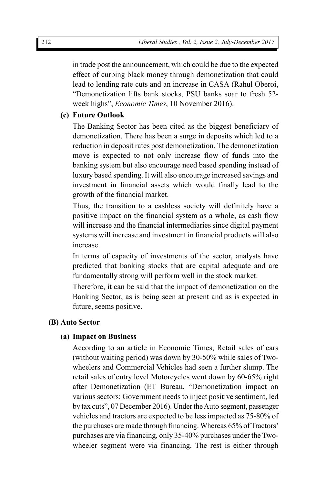in trade post the announcement, which could be due to the expected effect of curbing black money through demonetization that could lead to lending rate cuts and an increase in CASA (Rahul Oberoi, "Demonetization lifts bank stocks, PSU banks soar to fresh 52 week highs", *Economic Times*, 10 November 2016).

#### **(c) Future Outlook**

The Banking Sector has been cited as the biggest beneficiary of demonetization. There has been a surge in deposits which led to a reduction in deposit rates post demonetization. The demonetization move is expected to not only increase flow of funds into the banking system but also encourage need based spending instead of luxury based spending. It will also encourage increased savings and investment in financial assets which would finally lead to the growth of the financial market.

Thus, the transition to a cashless society will definitely have a positive impact on the financial system as a whole, as cash flow will increase and the financial intermediaries since digital payment systems will increase and investment in financial products will also increase.

In terms of capacity of investments of the sector, analysts have predicted that banking stocks that are capital adequate and are fundamentally strong will perform well in the stock market.

Therefore, it can be said that the impact of demonetization on the Banking Sector, as is being seen at present and as is expected in future, seems positive.

#### **(B) Auto Sector**

#### **(a) Impact on Business**

According to an article in Economic Times, Retail sales of cars (without waiting period) was down by 30-50% while sales of Twowheelers and Commercial Vehicles had seen a further slump. The retail sales of entry level Motorcycles went down by 60-65% right after Demonetization (ET Bureau, "Demonetization impact on various sectors: Government needs to inject positive sentiment, led by tax cuts", 07 December 2016). Under the Auto segment, passenger vehicles and tractors are expected to be less impacted as 75-80% of the purchases are made through financing. Whereas 65% of Tractors' purchases are via financing, only 35-40% purchases under the Twowheeler segment were via financing. The rest is either through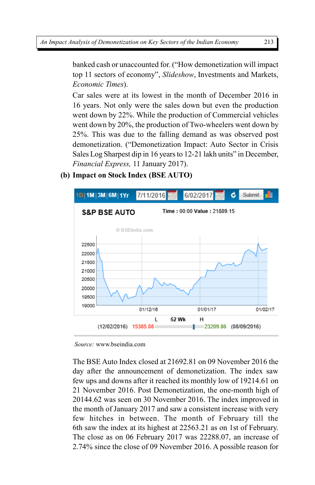banked cash or unaccounted for. ("How demonetization will impact top 11 sectors of economy", *Slideshow*, Investments and Markets, *Economic Times*).

Car sales were at its lowest in the month of December 2016 in 16 years. Not only were the sales down but even the production went down by 22%. While the production of Commercial vehicles went down by 20%, the production of Two-wheelers went down by 25%. This was due to the falling demand as was observed post demonetization. ("Demonetization Impact: Auto Sector in Crisis Sales Log Sharpest dip in 16 years to 12-21 lakh units" in December, *Financial Express,* 11 January 2017).

## **(b) Impact on Stock Index (BSE AUTO)**



*Source:* www.bseindia.com

The BSE Auto Index closed at 21692.81 on 09 November 2016 the day after the announcement of demonetization. The index saw few ups and downs after it reached its monthly low of 19214.61 on 21 November 2016. Post Demonetization, the one-month high of 20144.62 was seen on 30 November 2016. The index improved in the month of January 2017 and saw a consistent increase with very few hitches in between. The month of February till the 6th saw the index at its highest at 22563.21 as on 1st of February. The close as on 06 February 2017 was 22288.07, an increase of 2.74% since the close of 09 November 2016. A possible reason for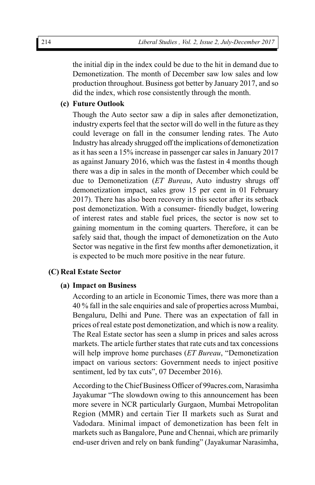the initial dip in the index could be due to the hit in demand due to Demonetization. The month of December saw low sales and low production throughout. Business got better by January 2017, and so did the index, which rose consistently through the month.

#### **(c) Future Outlook**

Though the Auto sector saw a dip in sales after demonetization, industry experts feel that the sector will do well in the future as they could leverage on fall in the consumer lending rates. The Auto Industry has already shrugged off the implications of demonetization as it has seen a 15% increase in passenger car sales in January 2017 as against January 2016, which was the fastest in 4 months though there was a dip in sales in the month of December which could be due to Demonetization (*ET Bureau*, Auto industry shrugs off demonetization impact, sales grow 15 per cent in 01 February 2017). There has also been recovery in this sector after its setback post demonetization. With a consumer- friendly budget, lowering of interest rates and stable fuel prices, the sector is now set to gaining momentum in the coming quarters. Therefore, it can be safely said that, though the impact of demonetization on the Auto Sector was negative in the first few months after demonetization, it is expected to be much more positive in the near future.

#### **(C) Real Estate Sector**

#### **(a) Impact on Business**

According to an article in Economic Times, there was more than a 40 % fall in the sale enquiries and sale of properties across Mumbai, Bengaluru, Delhi and Pune. There was an expectation of fall in prices of real estate post demonetization, and which is now a reality. The Real Estate sector has seen a slump in prices and sales across markets. The article further states that rate cuts and tax concessions will help improve home purchases (*ET Bureau*, "Demonetization impact on various sectors: Government needs to inject positive sentiment, led by tax cuts", 07 December 2016).

According to the Chief Business Officer of 99acres.com, Narasimha Jayakumar "The slowdown owing to this announcement has been more severe in NCR particularly Gurgaon, Mumbai Metropolitan Region (MMR) and certain Tier II markets such as Surat and Vadodara. Minimal impact of demonetization has been felt in markets such as Bangalore, Pune and Chennai, which are primarily end-user driven and rely on bank funding" (Jayakumar Narasimha,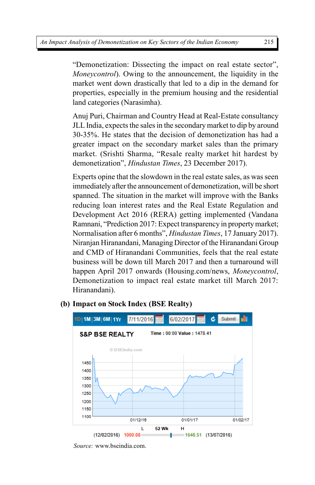"Demonetization: Dissecting the impact on real estate sector", *Moneycontrol*). Owing to the announcement, the liquidity in the market went down drastically that led to a dip in the demand for properties, especially in the premium housing and the residential land categories (Narasimha).

Anuj Puri, Chairman and Country Head at Real-Estate consultancy JLL India, expects the sales in the secondary market to dip by around 30-35%. He states that the decision of demonetization has had a greater impact on the secondary market sales than the primary market. (Srishti Sharma, "Resale realty market hit hardest by demonetization", *Hindustan Times*, 23 December 2017).

Experts opine that the slowdown in the real estate sales, as was seen immediately after the announcement of demonetization, will be short spanned. The situation in the market will improve with the Banks reducing loan interest rates and the Real Estate Regulation and Development Act 2016 (RERA) getting implemented (Vandana Ramnani, "Prediction 2017: Expect transparency in property market; Normalisation after 6 months", *Hindustan Times*, 17 January 2017). Niranjan Hiranandani, Managing Director of the Hiranandani Group and CMD of Hiranandani Communities, feels that the real estate business will be down till March 2017 and then a turnaround will happen April 2017 onwards (Housing.com/news, *Moneycontrol*, Demonetization to impact real estate market till March 2017: Hiranandani).



## **(b) Impact on Stock Index (BSE Realty)**

*Source:* www.bseindia.com.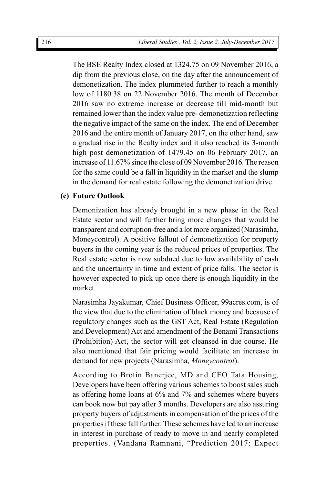The BSE Realty Index closed at 1324.75 on 09 November 2016, a dip from the previous close, on the day after the announcement of demonetization. The index plummeted further to reach a monthly low of 1180.38 on 22 November 2016. The month of December 2016 saw no extreme increase or decrease till mid-month but remained lower than the index value pre- demonetization reflecting the negative impact of the same on the index. The end of December 2016 and the entire month of January 2017, on the other hand, saw a gradual rise in the Realty index and it also reached its 3-month high post demonetization of 1479.45 on 06 February 2017, an increase of 11.67% since the close of 09 November 2016. The reason for the same could be a fall in liquidity in the market and the slump in the demand for real estate following the demonetization drive.

#### **(c) Future Outlook**

Demonization has already brought in a new phase in the Real Estate sector and will further bring more changes that would be transparent and corruption-free and a lot more organized (Narasimha, Moneycontrol). A positive fallout of demonetization for property buyers in the coming year is the reduced prices of properties. The Real estate sector is now subdued due to low availability of cash and the uncertainty in time and extent of price falls. The sector is however expected to pick up once there is enough liquidity in the market.

Narasimha Jayakumar, Chief Business Officer, 99acres.com, is of the view that due to the elimination of black money and because of regulatory changes such as the GST Act, Real Estate (Regulation and Development) Act and amendment of the Benami Transactions (Prohibition) Act, the sector will get cleansed in due course. He also mentioned that fair pricing would facilitate an increase in demand for new projects (Narasimha, *Moneycontrol*).

According to Brotin Banerjee, MD and CEO Tata Housing, Developers have been offering various schemes to boost sales such as offering home loans at 6% and 7% and schemes where buyers can book now but pay after 3 months. Developers are also assuring property buyers of adjustments in compensation of the prices of the properties if these fall further. These schemes have led to an increase in interest in purchase of ready to move in and nearly completed properties. (Vandana Ramnani, "Prediction 2017: Expect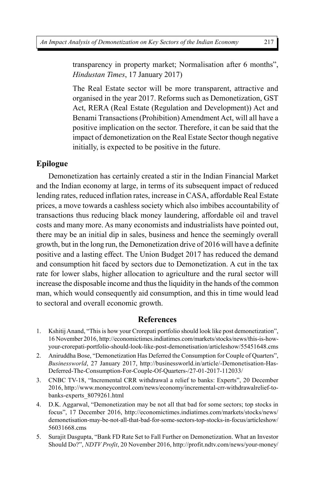transparency in property market; Normalisation after 6 months", *Hindustan Times*, 17 January 2017)

The Real Estate sector will be more transparent, attractive and organised in the year 2017. Reforms such as Demonetization, GST Act, RERA (Real Estate (Regulation and Development)) Act and Benami Transactions (Prohibition) Amendment Act, will all have a positive implication on the sector. Therefore, it can be said that the impact of demonetization on the Real Estate Sector though negative initially, is expected to be positive in the future.

#### **Epilogue**

Demonetization has certainly created a stir in the Indian Financial Market and the Indian economy at large, in terms of its subsequent impact of reduced lending rates, reduced inflation rates, increase in CASA, affordable Real Estate prices, a move towards a cashless society which also imbibes accountability of transactions thus reducing black money laundering, affordable oil and travel costs and many more. As many economists and industrialists have pointed out, there may be an initial dip in sales, business and hence the seemingly overall growth, but in the long run, the Demonetization drive of 2016 will have a definite positive and a lasting effect. The Union Budget 2017 has reduced the demand and consumption hit faced by sectors due to Demonetization. A cut in the tax rate for lower slabs, higher allocation to agriculture and the rural sector will increase the disposable income and thus the liquidity in the hands of the common man, which would consequently aid consumption, and this in time would lead to sectoral and overall economic growth.

#### **References**

- 1. Kshitij Anand, "This is how your Crorepati portfolio should look like post demonetization", 16 November 2016, http://economictimes.indiatimes.com/markets/stocks/news/this-is-howyour-crorepati-portfolio-should-look-like-post-demonetisation/articleshow/55451648.cms
- 2. Aniruddha Bose, "Demonetization Has Deferred the Consumption for Couple of Quarters", *Businessworld*, 27 January 2017, http://businessworld.in/article/-Demonetisation-Has-Deferred-The-Consumption-For-Couple-Of-Quarters-/27-01-2017-112033/
- 3. CNBC TV-18, "Incremental CRR withdrawal a relief to banks: Experts", 20 December 2016, http://www.moneycontrol.com/news/economy/incremental-crr-withdrawalrelief-tobanks-experts\_8079261.html
- 4. D.K. Aggarwal, "Demonetization may be not all that bad for some sectors; top stocks in focus", 17 December 2016, http://economictimes.indiatimes.com/markets/stocks/news/ demonetisation-may-be-not-all-that-bad-for-some-sectors-top-stocks-in-focus/articleshow/ 56031668.cms
- 5. Surajit Dasgupta, "Bank FD Rate Set to Fall Further on Demonetization. What an Investor Should Do?", *NDTV Profit*, 20 November 2016, http://profit.ndtv.com/news/your-money/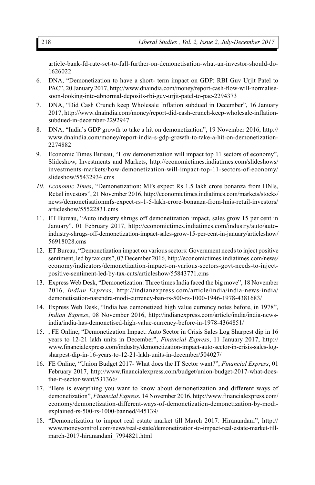article-bank-fd-rate-set-to-fall-further-on-demonetisation-what-an-investor-should-do-1626022

- 6. DNA, "Demonetization to have a short- term impact on GDP: RBI Guv Urjit Patel to PAC", 20 January 2017, http://www.dnaindia.com/money/report-cash-flow-will-normalisesoon-looking-into-abnormal-deposits-rbi-guv-urjit-patel-to-pac-2294373
- 7. DNA, "Did Cash Crunch keep Wholesale Inflation subdued in December", 16 January 2017, http://www.dnaindia.com/money/report-did-cash-crunch-keep-wholesale-inflationsubdued-in-december-2292947
- 8. DNA, "India's GDP growth to take a hit on demonetization", 19 November 2016, http:// www.dnaindia.com/money/report-india-s-gdp-growth-to-take-a-hit-on-demonetization-2274882
- 9. Economic Times Bureau, "How demonetization will impact top 11 sectors of economy", Slideshow, Investments and Markets, http://economictimes.indiatimes.com/slideshows/ investments-markets/how-demonetization-will-impact-top-11-sectors-of-economy/ slideshow/55432934.cms
- *10. Economic Times*, "Demonetization: MFs expect Rs 1.5 lakh crore bonanza from HNIs, Retail investors", 21 November 2016, http://economictimes.indiatimes.com/markets/stocks/ news/demonetisationmfs-expect-rs-1-5-lakh-crore-bonanza-from-hnis-retail-investors/ articleshow/55522831.cms
- 11. ET Bureau, "Auto industry shrugs off demonetization impact, sales grow 15 per cent in January". 01 February 2017, http://economictimes.indiatimes.com/industry/auto/autoindustry-shrugs-off-demonetization-impact-sales-grow-15-per-cent-in-january/articleshow/ 56918028.cms
- 12. ET Bureau, "Demonetization impact on various sectors: Government needs to inject positive sentiment, led by tax cuts", 07 December 2016, http://economictimes.indiatimes.com/news/ economy/indicators/demonetization-impact-on-various-sectors-govt-needs-to-injectpositive-sentiment-led-by-tax-cuts/articleshow/55843771.cms
- 13. Express Web Desk, "Demonetization: Three times India faced the big move", 18 November 2016, *Indian Express*, http://indianexpress.com/article/india/india-news-india/ demonetisation-narendra-modi-currency-ban-rs-500-rs-1000-1946-1978-4381683/
- 14. Express Web Desk, "India has demonetized high value currency notes before, in 1978", *Indian Express*, 08 November 2016, http://indianexpress.com/article/india/india-newsindia/india-has-demonetised-high-value-currency-before-in-1978-4364851/
- 15. , FE Online, "Demonetization Impact: Auto Sector in Crisis Sales Log Sharpest dip in 16 years to 12-21 lakh units in December", *Financial Express*, 11 January 2017, http:// www.financialexpress.com/industry/demonetization-impact-auto-sector-in-crisis-sales-logsharpest-dip-in-16-years-to-12-21-lakh-units-in-december/504027/
- 16. FE Online, "Union Budget 2017- What does the IT Sector want?", *Financial Express*, 01 February 2017, http://www.financialexpress.com/budget/union-budget-2017-what-doesthe-it-sector-want/531366/
- 17. "Here is everything you want to know about demonetization and different ways of demonetization", *Financial Express*, 14 November 2016, http://www.financialexpress.com/ economy/demonetization-different-ways-of-demonetization-demonetization-by-modiexplained-rs-500-rs-1000-banned/445139/
- 18. "Demonetization to impact real estate market till March 2017: Hiranandani", http:// www.moneycontrol.com/news/real-estate/demonetization-to-impact-real-estate-market-tillmarch-2017-hiranandani\_7994821.html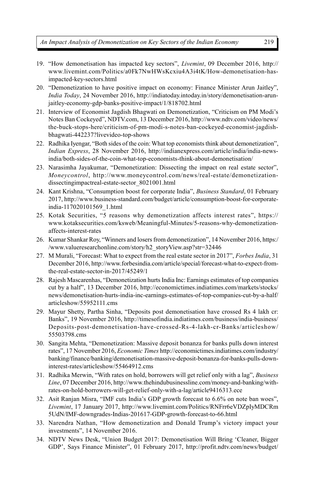*An Impact Analysis of Demonetization on Key Sectors of the Indian Economy*

- 19. "How demonetisation has impacted key sectors", *Livemint*, 09 December 2016, http:// www.livemint.com/Politics/a0Fk7NwHWsKcxiu4A3i4tK/How-demonetisation-hasimpacted-key-sectors.html
- 20. "Demonetization to have positive impact on economy: Finance Minister Arun Jaitley", *India Today*, 24 November 2016, http://indiatoday.intoday.in/story/demonetisation-arunjaitley-economy-gdp-banks-positive-impact/1/818702.html
- 21. Interview of Economist Jagdish Bhagwati on Demonetization, "Criticism on PM Modi's Notes Ban Cockeyed", NDTV.com, 13 December 2016, http://www.ndtv.com/video/news/ the-buck-stops-here/criticism-of-pm-modi-s-notes-ban-cockeyed-economist-jagdishbhagwati-442237?livevideo-top-shows
- 22. Radhika Iyengar, "Both sides of the coin: What top economists think about demonetization", *Indian Express*, 28 November 2016, http://indianexpress.com/article/india/india-newsindia/both-sides-of-the-coin-what-top-economists-think-about-demonetisation/
- 23. Narasimha Jayakumar, "Demonetization: Dissecting the impact on real estate sector", *Moneycontrol*, http://www.moneycontrol.com/news/real-estate/demonetizationdissectingimpactreal-estate-sector\_8021001.html
- 24. Kant Krishna, "Consumption boost for corporate India", *Business Standard*, 01 February 2017, http://www.business-standard.com/budget/article/consumption-boost-for-corporateindia-117020101569\_1.html
- 25. Kotak Securities, "5 reasons why demonetization affects interest rates", https:// www.kotaksecurities.com/ksweb/Meaningful-Minutes/5-reasons-why-demonetizationaffects-interest-rates
- 26. Kumar Shankar Roy, "Winners and losers from demonetization", 14 November 2016, https:/ /www.valueresearchonline.com/story/h2\_storyView.asp?str=32446
- 27. M Murali, "Forecast: What to expect from the real estate sector in 2017", *Forbes India*, 31 December 2016, http://www.forbesindia.com/article/special/forecast-what-to-expect-fromthe-real-estate-sector-in-2017/45249/1
- 28. Rajesh Mascarenhas, "Demonetization hurts India Inc: Earnings estimates of top companies cut by a half", 13 December 2016, http://economictimes.indiatimes.com/markets/stocks/ news/demonetisation-hurts-india-inc-earnings-estimates-of-top-companies-cut-by-a-half/ articleshow/55952111.cms
- 29. Mayur Shetty, Partha Sinha, "Deposits post demonetisation have crossed Rs 4 lakh cr: Banks", 19 November 2016, http://timesofindia.indiatimes.com/business/india-business/ Deposits-post-demonetisation-have-crossed-Rs-4-lakh-cr-Banks/articleshow/ 55503798.cms
- 30. Sangita Mehta, "Demonetization: Massive deposit bonanza for banks pulls down interest rates", 17 November 2016, *Economic Times* http://economictimes.indiatimes.com/industry/ banking/finance/banking/demonetisation-massive-deposit-bonanza-for-banks-pulls-downinterest-rates/articleshow/55464912.cms
- 31. Radhika Merwin, "With rates on hold, borrowers will get relief only with a lag", *Business Line*, 07 December 2016, http://www.thehindubusinessline.com/money-and-banking/withrates-on-hold-borrowers-will-get-relief-only-with-a-lag/article9416313.ece
- 32. Asit Ranjan Misra, "IMF cuts India's GDP growth forecast to 6.6% on note ban woes", *Livemint*, 17 January 2017, http://www.livemint.com/Politics/RNFrr6eVDZpIyMDCRm 5UdN/IMF-downgrades-Indias-201617-GDP-growth-forecast-to-66.html
- 33. Narendra Nathan, "How demonetization and Donald Trump's victory impact your investments", 14 November 2016.
- 34. NDTV News Desk, "Union Budget 2017: Demonetisation Will Bring 'Cleaner, Bigger GDP', Says Finance Minister", 01 February 2017, http://profit.ndtv.com/news/budget/